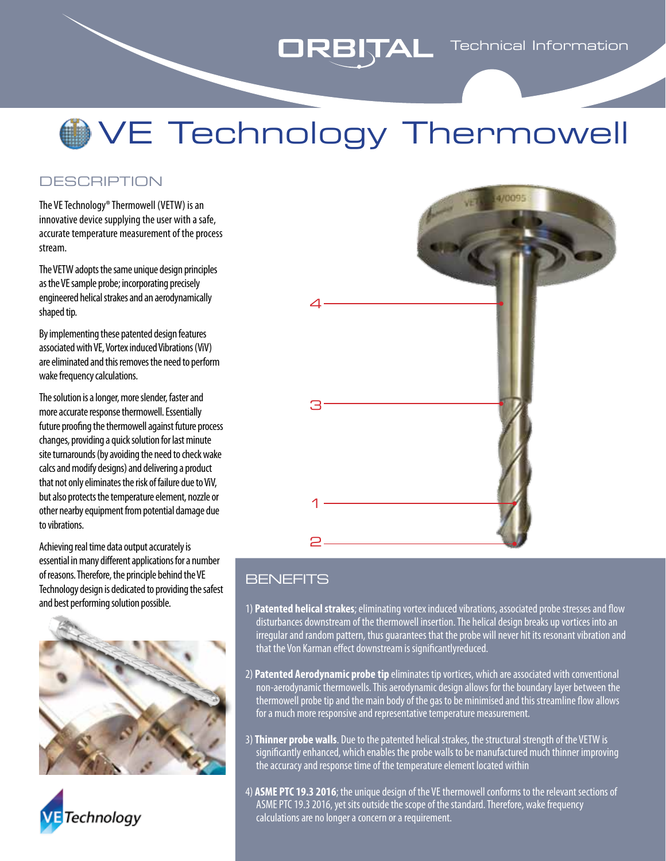### **ORBITAL** Technical Information

# VE Technology Thermowell

#### **DESCRIPTION**

The VE Technology® Thermowell (VETW) is an innovative device supplying the user with a safe, accurate temperature measurement of the process stream.

The VETW adopts the same unique design principles as the VE sample probe; incorporating precisely engineered helical strakes and an aerodynamically shaped tip.

By implementing these patented design features associated with VE, Vortex induced Vibrations (ViV) are eliminated and this removes the need to perform wake frequency calculations.

The solution is a longer, more slender, faster and more accurate response thermowell. Essentially future proofing the thermowell against future process changes, providing a quick solution for last minute site turnarounds (by avoiding the need to check wake calcs and modify designs) and delivering a product that not only eliminates the risk of failure due to ViV, but also protects the temperature element, nozzle or other nearby equipment from potential damage due to vibrations.

Achieving real time data output accurately is essential in many different applications for a number of reasons. Therefore, the principle behind the VE Technology design is dedicated to providing the safest and best performing solution possible.







### **BENEFITS**

- 1) **Patented helical strakes**; eliminating vortex induced vibrations, associated probe stresses and flow disturbances downstream of the thermowell insertion. The helical design breaks up vortices into an irregular and random pattern, thus guarantees that the probe will never hit its resonant vibration and that the Von Karman effect downstream is significantlyreduced.
- 2) **Patented Aerodynamic probe tip** eliminates tip vortices, which are associated with conventional non-aerodynamic thermowells. This aerodynamic design allows for the boundary layer between the thermowell probe tip and the main body of the gas to be minimised and this streamline flow allows for a much more responsive and representative temperature measurement.
- 3) **Thinner probe walls**. Due to the patented helical strakes, the structural strength of the VETW is significantly enhanced, which enables the probe walls to be manufactured much thinner improving the accuracy and response time of the temperature element located within
- 4) **ASME PTC 19.3 2016**; the unique design of the VE thermowell conforms to the relevant sections of ASME PTC 19.3 2016, yet sits outside the scope of the standard. Therefore, wake frequency calculations are no longer a concern or a requirement.